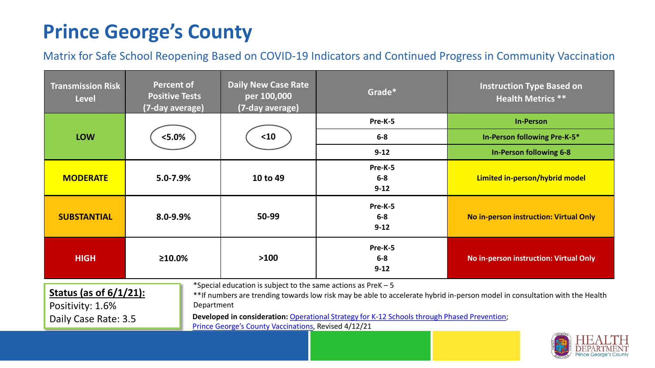## **Prince George's County**

## Matrix for Safe School Reopening Based on COVID-19 Indicators and Continued Progress in Community Vaccination

| <b>Transmission Risk</b><br><b>Level</b>                                                                                                                                                                                                                                                                                                                                                                                                                              | <b>Percent of</b><br><b>Positive Tests</b><br>(7-day average) | <b>Daily New Case Rate</b><br>per 100,000<br>(7-day average) | Grade*                       | <b>Instruction Type Based on</b><br><b>Health Metrics **</b> |
|-----------------------------------------------------------------------------------------------------------------------------------------------------------------------------------------------------------------------------------------------------------------------------------------------------------------------------------------------------------------------------------------------------------------------------------------------------------------------|---------------------------------------------------------------|--------------------------------------------------------------|------------------------------|--------------------------------------------------------------|
| <b>LOW</b>                                                                                                                                                                                                                                                                                                                                                                                                                                                            | $< 5.0\%$                                                     | $10$                                                         | Pre-K-5                      | <b>In-Person</b>                                             |
|                                                                                                                                                                                                                                                                                                                                                                                                                                                                       |                                                               |                                                              | $6-8$                        | In-Person following Pre-K-5*                                 |
|                                                                                                                                                                                                                                                                                                                                                                                                                                                                       |                                                               |                                                              | $9 - 12$                     | <b>In-Person following 6-8</b>                               |
| <b>MODERATE</b>                                                                                                                                                                                                                                                                                                                                                                                                                                                       | $5.0 - 7.9%$                                                  | 10 to 49                                                     | Pre-K-5<br>$6-8$<br>$9 - 12$ | Limited in-person/hybrid model                               |
| <b>SUBSTANTIAL</b>                                                                                                                                                                                                                                                                                                                                                                                                                                                    | 8.0-9.9%                                                      | 50-99                                                        | Pre-K-5<br>$6-8$<br>$9 - 12$ | No in-person instruction: Virtual Only                       |
| <b>HIGH</b>                                                                                                                                                                                                                                                                                                                                                                                                                                                           | ≥10.0%                                                        | >100                                                         | Pre-K-5<br>$6-8$<br>$9 - 12$ | No in-person instruction: Virtual Only                       |
| *Special education is subject to the same actions as PreK $-5$<br><b>Status (as of 6/1/21):</b><br>**If numbers are trending towards low risk may be able to accelerate hybrid in-person model in consultation with the Health<br>Department<br>Positivity: 1.6%<br>Developed in consideration: Operational Strategy for K-12 Schools through Phased Prevention;<br>Daily Case Rate: 3.5<br>Prince George's County Vaccinations, Revised 4/12/21<br>HFAI <sub>1</sub> |                                                               |                                                              |                              |                                                              |

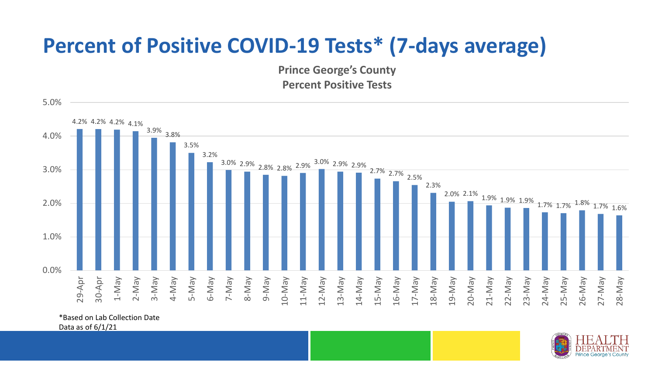## **Percent of Positive COVID-19 Tests\* (7-days average)**

**Prince George's County Percent Positive Tests**



\*Based on Lab Collection Date

Data as of 6/1/21

5.0%